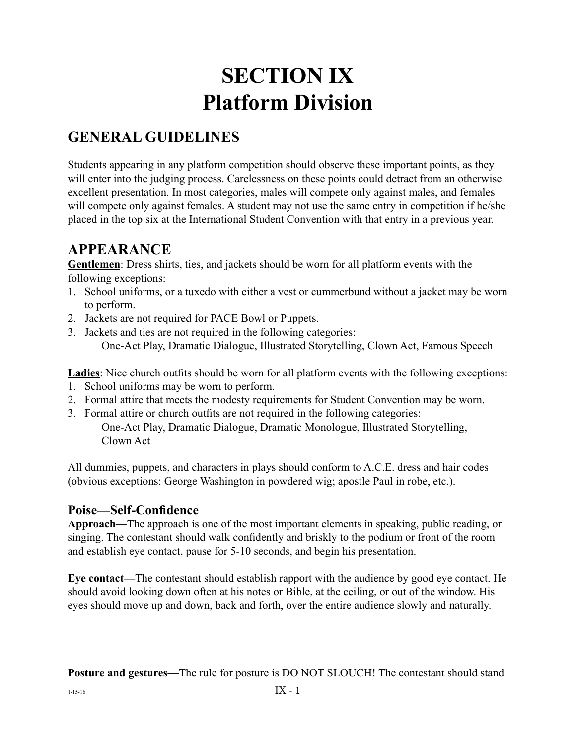# **SECTION IX Platform Division**

## **GENERAL GUIDELINES**

Students appearing in any platform competition should observe these important points, as they will enter into the judging process. Carelessness on these points could detract from an otherwise excellent presentation. In most categories, males will compete only against males, and females will compete only against females. A student may not use the same entry in competition if he/she placed in the top six at the International Student Convention with that entry in a previous year.

## **APPEARANCE**

**Gentlemen**: Dress shirts, ties, and jackets should be worn for all platform events with the following exceptions:

- 1. School uniforms, or a tuxedo with either a vest or cummerbund without a jacket may be worn to perform.
- 2. Jackets are not required for PACE Bowl or Puppets.
- 3. Jackets and ties are not required in the following categories: One-Act Play, Dramatic Dialogue, Illustrated Storytelling, Clown Act, Famous Speech

**Ladies**: Nice church outfits should be worn for all platform events with the following exceptions:

- 1. School uniforms may be worn to perform.
- 2. Formal attire that meets the modesty requirements for Student Convention may be worn.
- 3. Formal attire or church outfits are not required in the following categories: One-Act Play, Dramatic Dialogue, Dramatic Monologue, Illustrated Storytelling, Clown Act

All dummies, puppets, and characters in plays should conform to A.C.E. dress and hair codes (obvious exceptions: George Washington in powdered wig; apostle Paul in robe, etc.).

#### **Poise—Self-Confidence**

**Approach—**The approach is one of the most important elements in speaking, public reading, or singing. The contestant should walk confidently and briskly to the podium or front of the room and establish eye contact, pause for 5-10 seconds, and begin his presentation.

**Eye contact—**The contestant should establish rapport with the audience by good eye contact. He should avoid looking down often at his notes or Bible, at the ceiling, or out of the window. His eyes should move up and down, back and forth, over the entire audience slowly and naturally.

**Posture and gestures—The rule for posture is DO NOT SLOUCH! The contestant should stand**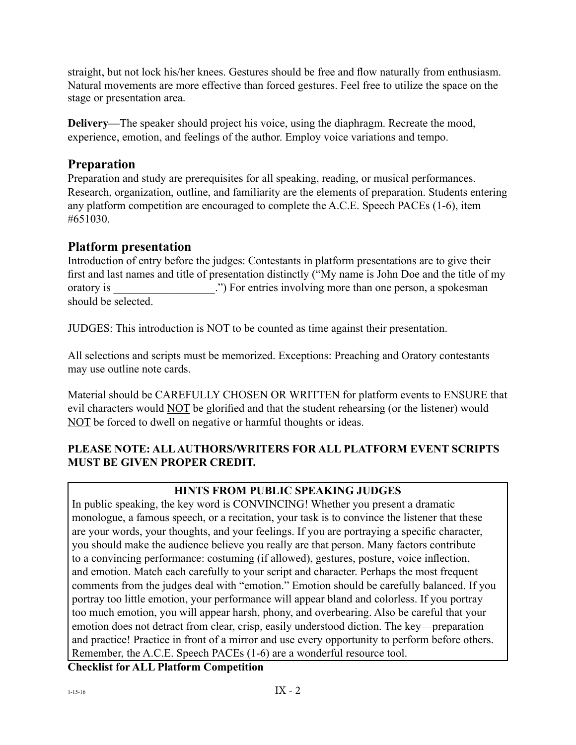straight, but not lock his/her knees. Gestures should be free and flow naturally from enthusiasm. Natural movements are more effective than forced gestures. Feel free to utilize the space on the stage or presentation area.

**Delivery—**The speaker should project his voice, using the diaphragm. Recreate the mood, experience, emotion, and feelings of the author. Employ voice variations and tempo.

### **Preparation**

Preparation and study are prerequisites for all speaking, reading, or musical performances. Research, organization, outline, and familiarity are the elements of preparation. Students entering any platform competition are encouraged to complete the A.C.E. Speech PACEs (1-6), item #651030.

#### **Platform presentation**

Introduction of entry before the judges: Contestants in platform presentations are to give their first and last names and title of presentation distinctly ("My name is John Doe and the title of my oratory is <br>  $\therefore$  For entries involving more than one person, a spokesman should be selected.

JUDGES: This introduction is NOT to be counted as time against their presentation.

All selections and scripts must be memorized. Exceptions: Preaching and Oratory contestants may use outline note cards.

Material should be CAREFULLY CHOSEN OR WRITTEN for platform events to ENSURE that evil characters would NOT be glorified and that the student rehearsing (or the listener) would NOT be forced to dwell on negative or harmful thoughts or ideas.

#### **PLEASE NOTE: ALL AUTHORS/WRITERS FOR ALL PLATFORM EVENT SCRIPTS MUST BE GIVEN PROPER CREDIT.**

#### **HINTS FROM PUBLIC SPEAKING JUDGES**

In public speaking, the key word is CONVINCING! Whether you present a dramatic monologue, a famous speech, or a recitation, your task is to convince the listener that these are your words, your thoughts, and your feelings. If you are portraying a specific character, you should make the audience believe you really are that person. Many factors contribute to a convincing performance: costuming (if allowed), gestures, posture, voice inflection, and emotion. Match each carefully to your script and character. Perhaps the most frequent comments from the judges deal with "emotion." Emotion should be carefully balanced. If you portray too little emotion, your performance will appear bland and colorless. If you portray too much emotion, you will appear harsh, phony, and overbearing. Also be careful that your emotion does not detract from clear, crisp, easily understood diction. The key—preparation and practice! Practice in front of a mirror and use every opportunity to perform before others. Remember, the A.C.E. Speech PACEs (1-6) are a wonderful resource tool.

**Checklist for ALL Platform Competition**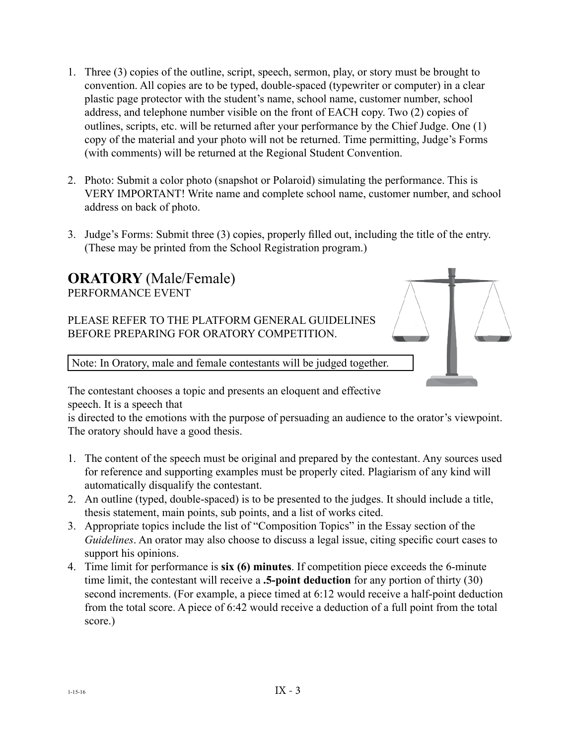- 1. Three (3) copies of the outline, script, speech, sermon, play, or story must be brought to convention. All copies are to be typed, double-spaced (typewriter or computer) in a clear plastic page protector with the student's name, school name, customer number, school address, and telephone number visible on the front of EACH copy. Two (2) copies of outlines, scripts, etc. will be returned after your performance by the Chief Judge. One (1) copy of the material and your photo will not be returned. Time permitting, Judge's Forms (with comments) will be returned at the Regional Student Convention.
- 2. Photo: Submit a color photo (snapshot or Polaroid) simulating the performance. This is VERY IMPORTANT! Write name and complete school name, customer number, and school address on back of photo.
- 3. Judge's Forms: Submit three (3) copies, properly filled out, including the title of the entry. (These may be printed from the School Registration program.)



The contestant chooses a topic and presents an eloquent and effective speech. It is a speech that

is directed to the emotions with the purpose of persuading an audience to the orator's viewpoint. The oratory should have a good thesis.

- 1. The content of the speech must be original and prepared by the contestant. Any sources used for reference and supporting examples must be properly cited. Plagiarism of any kind will automatically disqualify the contestant.
- 2. An outline (typed, double-spaced) is to be presented to the judges. It should include a title, thesis statement, main points, sub points, and a list of works cited.
- 3. Appropriate topics include the list of "Composition Topics" in the Essay section of the *Guidelines*. An orator may also choose to discuss a legal issue, citing specific court cases to support his opinions.
- 4. Time limit for performance is **six (6) minutes**. If competition piece exceeds the 6-minute time limit, the contestant will receive a **.5-point deduction** for any portion of thirty (30) second increments. (For example, a piece timed at 6:12 would receive a half-point deduction from the total score. A piece of 6:42 would receive a deduction of a full point from the total score.)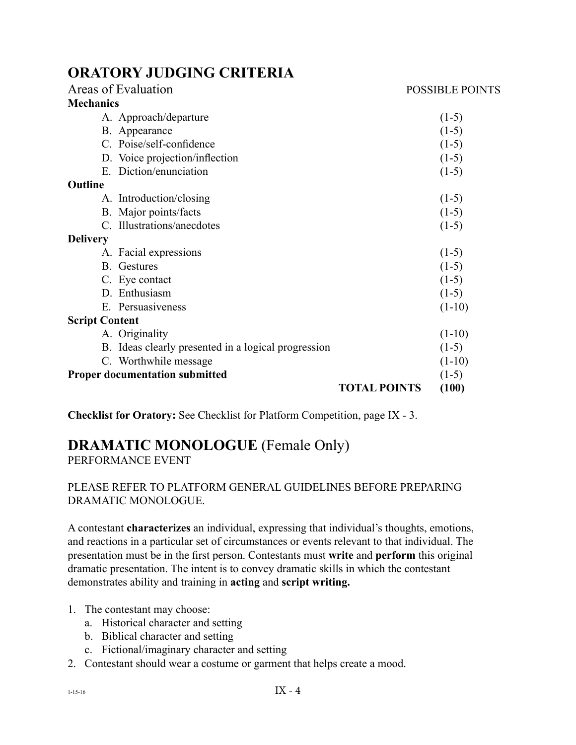## **ORATORY JUDGING CRITERIA**

| Areas of Evaluation                                 |                     | <b>POSSIBLE POINTS</b> |
|-----------------------------------------------------|---------------------|------------------------|
| <b>Mechanics</b>                                    |                     |                        |
| A. Approach/departure                               |                     | $(1-5)$                |
| B. Appearance                                       |                     | $(1-5)$                |
| C. Poise/self-confidence                            |                     | $(1-5)$                |
| D. Voice projection/inflection                      |                     | $(1-5)$                |
| Diction/enunciation<br>$E_{\perp}$                  |                     | $(1-5)$                |
| Outline                                             |                     |                        |
| A. Introduction/closing                             |                     | $(1-5)$                |
| B. Major points/facts                               |                     | $(1-5)$                |
| C. Illustrations/anecdotes                          |                     | $(1-5)$                |
| <b>Delivery</b>                                     |                     |                        |
| A. Facial expressions                               |                     | $(1-5)$                |
| <b>B.</b> Gestures                                  |                     | $(1-5)$                |
| C. Eye contact                                      |                     | $(1-5)$                |
| D. Enthusiasm                                       |                     | $(1-5)$                |
| E. Persuasiveness                                   |                     | $(1-10)$               |
| <b>Script Content</b>                               |                     |                        |
| A. Originality                                      |                     | $(1-10)$               |
| B. Ideas clearly presented in a logical progression |                     | $(1-5)$                |
| C. Worthwhile message                               |                     | $(1-10)$               |
| <b>Proper documentation submitted</b>               |                     | $(1-5)$                |
|                                                     | <b>TOTAL POINTS</b> | (100)                  |

**Checklist for Oratory:** See Checklist for Platform Competition, page IX - 3.

## **DRAMATIC MONOLOGUE** (Female Only)

PERFORMANCE EVENT

#### PLEASE REFER TO PLATFORM GENERAL GUIDELINES BEFORE PREPARING DRAMATIC MONOLOGUE.

A contestant **characterizes** an individual, expressing that individual's thoughts, emotions, and reactions in a particular set of circumstances or events relevant to that individual. The presentation must be in the first person. Contestants must **write** and **perform** this original dramatic presentation. The intent is to convey dramatic skills in which the contestant demonstrates ability and training in **acting** and **script writing.**

#### 1. The contestant may choose:

- a. Historical character and setting
- b. Biblical character and setting
- c. Fictional/imaginary character and setting
- 2. Contestant should wear a costume or garment that helps create a mood.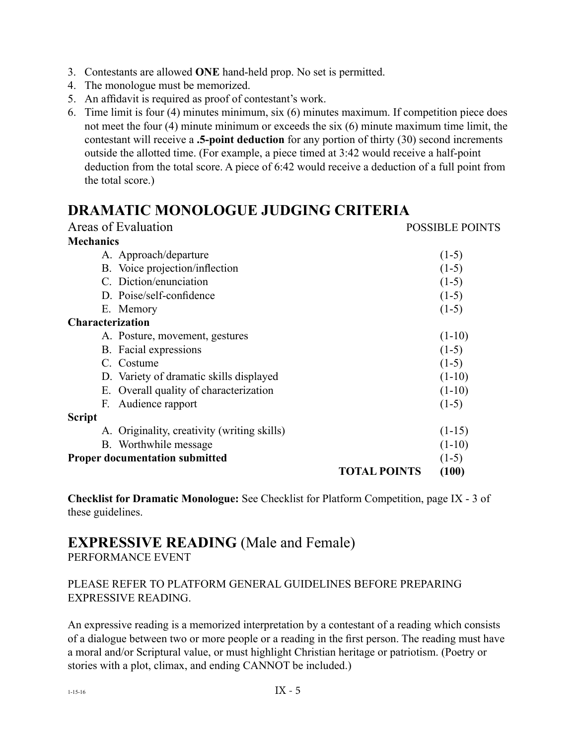- 3. Contestants are allowed **ONE** hand-held prop. No set is permitted.
- 4. The monologue must be memorized.
- 5. An affidavit is required as proof of contestant's work.
- 6. Time limit is four (4) minutes minimum, six (6) minutes maximum. If competition piece does not meet the four (4) minute minimum or exceeds the six (6) minute maximum time limit, the contestant will receive a **.5-point deduction** for any portion of thirty (30) second increments outside the allotted time. (For example, a piece timed at 3:42 would receive a half-point deduction from the total score. A piece of 6:42 would receive a deduction of a full point from the total score.)

## **DRAMATIC MONOLOGUE JUDGING CRITERIA**

| Areas of Evaluation                         |                     | <b>POSSIBLE POINTS</b> |
|---------------------------------------------|---------------------|------------------------|
| <b>Mechanics</b>                            |                     |                        |
| A. Approach/departure                       |                     | $(1-5)$                |
| B. Voice projection/inflection              |                     | $(1-5)$                |
| C. Diction/enunciation                      |                     | $(1-5)$                |
| D. Poise/self-confidence                    |                     | $(1-5)$                |
| E. Memory                                   |                     | $(1-5)$                |
| <b>Characterization</b>                     |                     |                        |
| A. Posture, movement, gestures              |                     | $(1-10)$               |
| B. Facial expressions                       |                     | $(1-5)$                |
| C. Costume                                  |                     | $(1-5)$                |
| D. Variety of dramatic skills displayed     |                     | $(1-10)$               |
| E. Overall quality of characterization      |                     | $(1-10)$               |
| Audience rapport<br>F.                      |                     | $(1-5)$                |
| <b>Script</b>                               |                     |                        |
| A. Originality, creativity (writing skills) |                     | $(1-15)$               |
| B. Worthwhile message                       |                     | $(1-10)$               |
| <b>Proper documentation submitted</b>       |                     | $(1-5)$                |
|                                             | <b>TOTAL POINTS</b> | (100)                  |

**Checklist for Dramatic Monologue:** See Checklist for Platform Competition, page IX - 3 of these guidelines.

### **EXPRESSIVE READING** (Male and Female) PERFORMANCE EVENT

#### PLEASE REFER TO PLATFORM GENERAL GUIDELINES BEFORE PREPARING EXPRESSIVE READING.

An expressive reading is a memorized interpretation by a contestant of a reading which consists of a dialogue between two or more people or a reading in the first person. The reading must have a moral and/or Scriptural value, or must highlight Christian heritage or patriotism. (Poetry or stories with a plot, climax, and ending CANNOT be included.)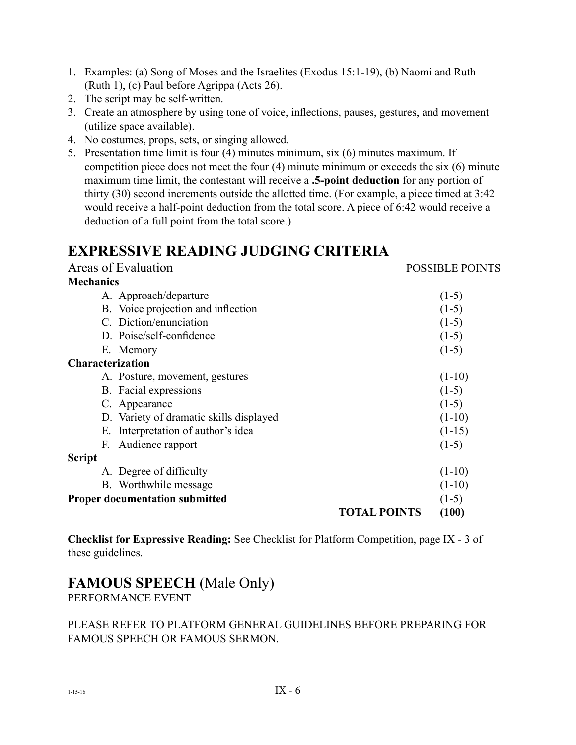- 1. Examples: (a) Song of Moses and the Israelites (Exodus 15:1-19), (b) Naomi and Ruth (Ruth 1), (c) Paul before Agrippa (Acts 26).
- 2. The script may be self-written.
- 3. Create an atmosphere by using tone of voice, inflections, pauses, gestures, and movement (utilize space available).
- 4. No costumes, props, sets, or singing allowed.
- 5. Presentation time limit is four (4) minutes minimum, six (6) minutes maximum. If competition piece does not meet the four (4) minute minimum or exceeds the six (6) minute maximum time limit, the contestant will receive a **.5-point deduction** for any portion of thirty (30) second increments outside the allotted time. (For example, a piece timed at 3:42 would receive a half-point deduction from the total score. A piece of 6:42 would receive a deduction of a full point from the total score.)

## **EXPRESSIVE READING JUDGING CRITERIA**

| Areas of Evaluation                     |                     | <b>POSSIBLE POINTS</b> |
|-----------------------------------------|---------------------|------------------------|
| <b>Mechanics</b>                        |                     |                        |
| A. Approach/departure                   |                     | $(1-5)$                |
| B. Voice projection and inflection      |                     | $(1-5)$                |
| C. Diction/enunciation                  |                     | $(1-5)$                |
| D. Poise/self-confidence                |                     | $(1-5)$                |
| E. Memory                               |                     | $(1-5)$                |
| Characterization                        |                     |                        |
| A. Posture, movement, gestures          |                     | $(1-10)$               |
| B. Facial expressions                   |                     | $(1-5)$                |
| C. Appearance                           |                     | $(1-5)$                |
| D. Variety of dramatic skills displayed |                     | $(1-10)$               |
| E. Interpretation of author's idea      |                     | $(1-15)$               |
| Audience rapport<br>F.                  |                     | $(1-5)$                |
| Script                                  |                     |                        |
| A. Degree of difficulty                 |                     | $(1-10)$               |
| B. Worthwhile message                   |                     | $(1-10)$               |
| <b>Proper documentation submitted</b>   |                     | $(1-5)$                |
|                                         | <b>TOTAL POINTS</b> | (100)                  |
|                                         |                     |                        |

**Checklist for Expressive Reading:** See Checklist for Platform Competition, page IX - 3 of these guidelines.

## **FAMOUS SPEECH** (Male Only)

PERFORMANCE EVENT

#### PLEASE REFER TO PLATFORM GENERAL GUIDELINES BEFORE PREPARING FOR FAMOUS SPEECH OR FAMOUS SERMON.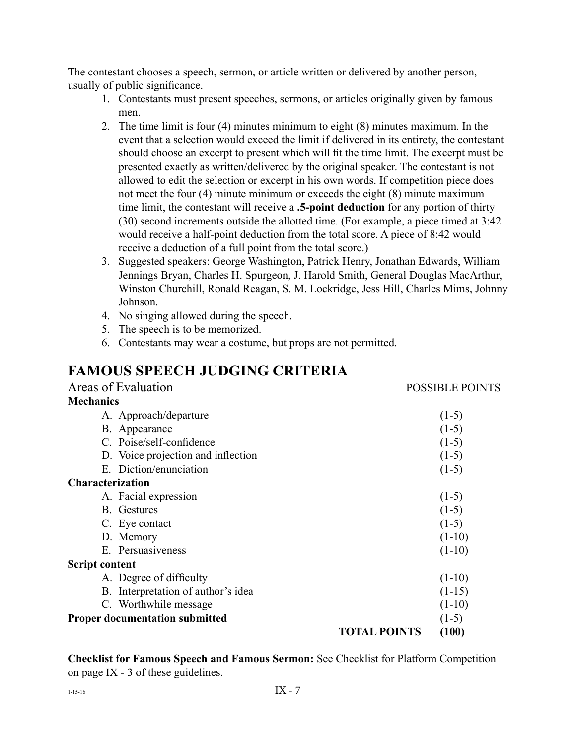The contestant chooses a speech, sermon, or article written or delivered by another person, usually of public significance.

- 1. Contestants must present speeches, sermons, or articles originally given by famous men.
- 2. The time limit is four (4) minutes minimum to eight (8) minutes maximum. In the event that a selection would exceed the limit if delivered in its entirety, the contestant should choose an excerpt to present which will fit the time limit. The excerpt must be presented exactly as written/delivered by the original speaker. The contestant is not allowed to edit the selection or excerpt in his own words. If competition piece does not meet the four (4) minute minimum or exceeds the eight (8) minute maximum time limit, the contestant will receive a **.5-point deduction** for any portion of thirty (30) second increments outside the allotted time. (For example, a piece timed at 3:42 would receive a half-point deduction from the total score. A piece of 8:42 would receive a deduction of a full point from the total score.)
- 3. Suggested speakers: George Washington, Patrick Henry, Jonathan Edwards, William Jennings Bryan, Charles H. Spurgeon, J. Harold Smith, General Douglas MacArthur, Winston Churchill, Ronald Reagan, S. M. Lockridge, Jess Hill, Charles Mims, Johnny Johnson.
- 4. No singing allowed during the speech.
- 5. The speech is to be memorized.
- 6. Contestants may wear a costume, but props are not permitted.

## **FAMOUS SPEECH JUDGING CRITERIA**

| Areas of Evaluation                   |                     | <b>POSSIBLE POINTS</b> |
|---------------------------------------|---------------------|------------------------|
| <b>Mechanics</b>                      |                     |                        |
| A. Approach/departure                 |                     | $(1-5)$                |
| B. Appearance                         |                     | $(1-5)$                |
| C. Poise/self-confidence              |                     | $(1-5)$                |
| D. Voice projection and inflection    |                     | $(1-5)$                |
| E. Diction/enunciation                |                     | $(1-5)$                |
| <b>Characterization</b>               |                     |                        |
| A. Facial expression                  |                     | $(1-5)$                |
| <b>B.</b> Gestures                    |                     | $(1-5)$                |
| C. Eye contact                        |                     | $(1-5)$                |
| D. Memory                             |                     | $(1-10)$               |
| E. Persuasiveness                     |                     | $(1-10)$               |
| <b>Script content</b>                 |                     |                        |
| A. Degree of difficulty               |                     | $(1-10)$               |
| B. Interpretation of author's idea    |                     | $(1-15)$               |
| C. Worthwhile message                 |                     | $(1-10)$               |
| <b>Proper documentation submitted</b> |                     | $(1-5)$                |
|                                       | <b>TOTAL POINTS</b> | (100)                  |

**Checklist for Famous Speech and Famous Sermon:** See Checklist for Platform Competition on page IX - 3 of these guidelines.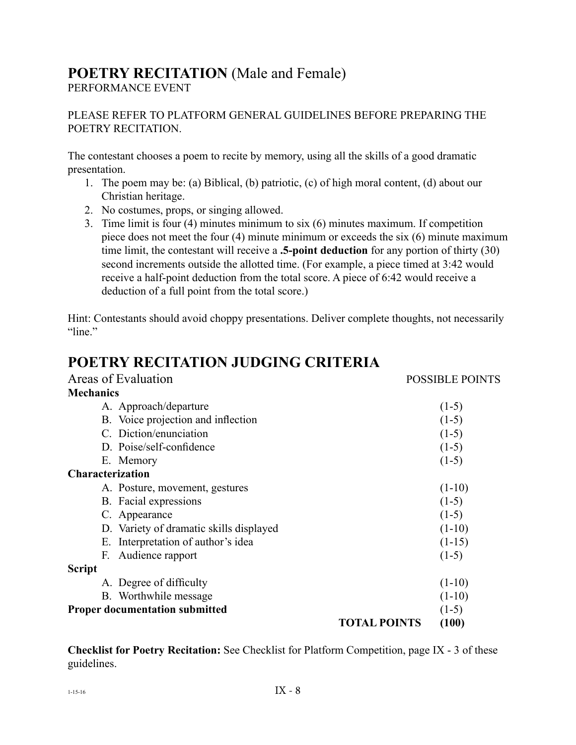## **POETRY RECITATION** (Male and Female)

PERFORMANCE EVENT

PLEASE REFER TO PLATFORM GENERAL GUIDELINES BEFORE PREPARING THE POETRY RECITATION.

The contestant chooses a poem to recite by memory, using all the skills of a good dramatic presentation.

- 1. The poem may be: (a) Biblical, (b) patriotic, (c) of high moral content, (d) about our Christian heritage.
- 2. No costumes, props, or singing allowed.
- 3. Time limit is four (4) minutes minimum to six (6) minutes maximum. If competition piece does not meet the four (4) minute minimum or exceeds the six (6) minute maximum time limit, the contestant will receive a **.5-point deduction** for any portion of thirty (30) second increments outside the allotted time. (For example, a piece timed at 3:42 would receive a half-point deduction from the total score. A piece of 6:42 would receive a deduction of a full point from the total score.)

Hint: Contestants should avoid choppy presentations. Deliver complete thoughts, not necessarily "line."

## **POETRY RECITATION JUDGING CRITERIA**

| Areas of Evaluation                     |                     | <b>POSSIBLE POINTS</b> |
|-----------------------------------------|---------------------|------------------------|
| <b>Mechanics</b>                        |                     |                        |
| A. Approach/departure                   |                     | $(1-5)$                |
| B. Voice projection and inflection      |                     | $(1-5)$                |
| C. Diction/enunciation                  |                     | $(1-5)$                |
| D. Poise/self-confidence                |                     | $(1-5)$                |
| E. Memory                               |                     | $(1-5)$                |
| <b>Characterization</b>                 |                     |                        |
| A. Posture, movement, gestures          |                     | $(1-10)$               |
| B. Facial expressions                   |                     | $(1-5)$                |
| C. Appearance                           |                     | $(1-5)$                |
| D. Variety of dramatic skills displayed |                     | $(1-10)$               |
| E. Interpretation of author's idea      |                     | $(1-15)$               |
| Audience rapport<br>F.                  |                     | $(1-5)$                |
| <b>Script</b>                           |                     |                        |
| A. Degree of difficulty                 |                     | $(1-10)$               |
| B. Worthwhile message                   |                     | $(1-10)$               |
| <b>Proper documentation submitted</b>   |                     | $(1-5)$                |
|                                         | <b>TOTAL POINTS</b> | (100)                  |

**Checklist for Poetry Recitation:** See Checklist for Platform Competition, page IX - 3 of these guidelines.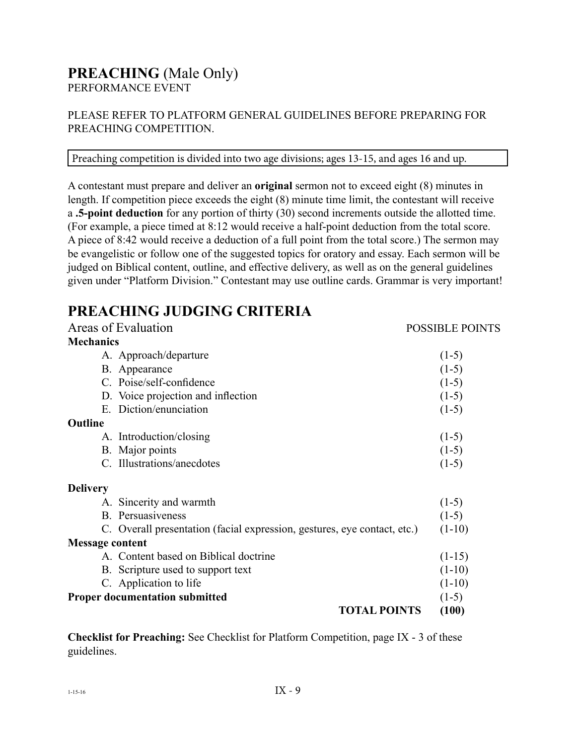#### **PREACHING** (Male Only) PERFORMANCE EVENT

#### PLEASE REFER TO PLATFORM GENERAL GUIDELINES BEFORE PREPARING FOR PREACHING COMPETITION.

#### Preaching competition is divided into two age divisions; ages 13-15, and ages 16 and up.

A contestant must prepare and deliver an **original** sermon not to exceed eight (8) minutes in length. If competition piece exceeds the eight (8) minute time limit, the contestant will receive a **.5-point deduction** for any portion of thirty (30) second increments outside the allotted time. (For example, a piece timed at 8:12 would receive a half-point deduction from the total score. A piece of 8:42 would receive a deduction of a full point from the total score.) The sermon may be evangelistic or follow one of the suggested topics for oratory and essay. Each sermon will be judged on Biblical content, outline, and effective delivery, as well as on the general guidelines given under "Platform Division." Contestant may use outline cards. Grammar is very important!

## **PREACHING JUDGING CRITERIA**

| Areas of Evaluation                                                      | <b>POSSIBLE POINTS</b> |
|--------------------------------------------------------------------------|------------------------|
| <b>Mechanics</b>                                                         |                        |
| A. Approach/departure                                                    | $(1-5)$                |
| B. Appearance                                                            | $(1-5)$                |
| C. Poise/self-confidence                                                 | $(1-5)$                |
| D. Voice projection and inflection                                       | $(1-5)$                |
| E. Diction/enunciation                                                   | $(1-5)$                |
| Outline                                                                  |                        |
| A. Introduction/closing                                                  | $(1-5)$                |
| B. Major points                                                          | $(1-5)$                |
| C. Illustrations/anecdotes                                               | $(1-5)$                |
| <b>Delivery</b>                                                          |                        |
| A. Sincerity and warmth                                                  | $(1-5)$                |
| B. Persuasiveness                                                        | $(1-5)$                |
| C. Overall presentation (facial expression, gestures, eye contact, etc.) | $(1-10)$               |
| <b>Message content</b>                                                   |                        |
| A. Content based on Biblical doctrine                                    | $(1-15)$               |
| B. Scripture used to support text                                        | $(1-10)$               |
| C. Application to life                                                   | $(1-10)$               |
| <b>Proper documentation submitted</b>                                    | $(1-5)$                |
| <b>TOTAL POINTS</b>                                                      | (100)                  |
|                                                                          |                        |

**Checklist for Preaching:** See Checklist for Platform Competition, page IX - 3 of these guidelines.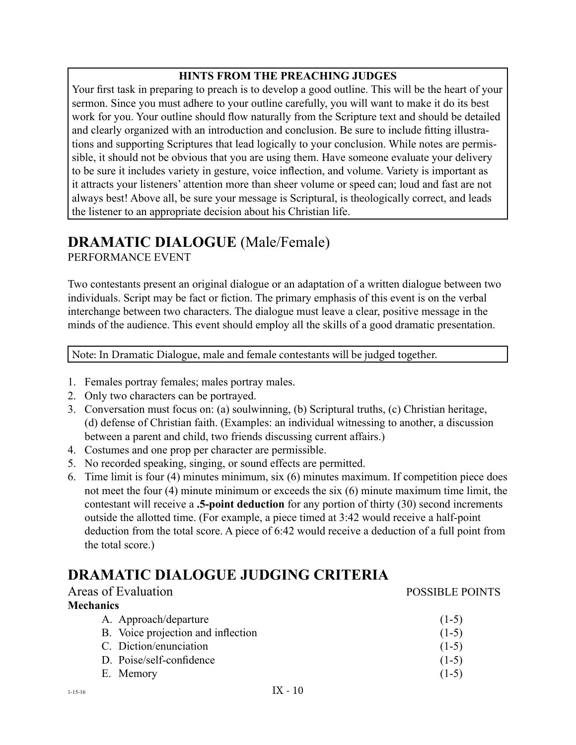#### **HINTS FROM THE PREACHING JUDGES**

Your first task in preparing to preach is to develop a good outline. This will be the heart of your sermon. Since you must adhere to your outline carefully, you will want to make it do its best work for you. Your outline should flow naturally from the Scripture text and should be detailed and clearly organized with an introduction and conclusion. Be sure to include fitting illustrations and supporting Scriptures that lead logically to your conclusion. While notes are permissible, it should not be obvious that you are using them. Have someone evaluate your delivery to be sure it includes variety in gesture, voice inflection, and volume. Variety is important as it attracts your listeners' attention more than sheer volume or speed can; loud and fast are not always best! Above all, be sure your message is Scriptural, is theologically correct, and leads the listener to an appropriate decision about his Christian life.

#### **DRAMATIC DIALOGUE** (Male/Female) PERFORMANCE EVENT

Two contestants present an original dialogue or an adaptation of a written dialogue between two individuals. Script may be fact or fiction. The primary emphasis of this event is on the verbal interchange between two characters. The dialogue must leave a clear, positive message in the minds of the audience. This event should employ all the skills of a good dramatic presentation.

Note: In Dramatic Dialogue, male and female contestants will be judged together.

- 1. Females portray females; males portray males.
- 2. Only two characters can be portrayed.
- 3. Conversation must focus on: (a) soulwinning, (b) Scriptural truths, (c) Christian heritage, (d) defense of Christian faith. (Examples: an individual witnessing to another, a discussion between a parent and child, two friends discussing current affairs.)
- 4. Costumes and one prop per character are permissible.
- 5. No recorded speaking, singing, or sound effects are permitted.
- 6. Time limit is four (4) minutes minimum, six (6) minutes maximum. If competition piece does not meet the four (4) minute minimum or exceeds the six (6) minute maximum time limit, the contestant will receive a **.5-point deduction** for any portion of thirty (30) second increments outside the allotted time. (For example, a piece timed at 3:42 would receive a half-point deduction from the total score. A piece of 6:42 would receive a deduction of a full point from the total score.)

## **DRAMATIC DIALOGUE JUDGING CRITERIA**

| Areas of Evaluation                | <b>POSSIBLE POINTS</b> |
|------------------------------------|------------------------|
| <b>Mechanics</b>                   |                        |
| A. Approach/departure              | $(1-5)$                |
| B. Voice projection and inflection | $(1-5)$                |
| C. Diction/enunciation             | $(1-5)$                |
| D. Poise/self-confidence           | $(1-5)$                |
| E. Memory                          | $(1-5)$                |
|                                    |                        |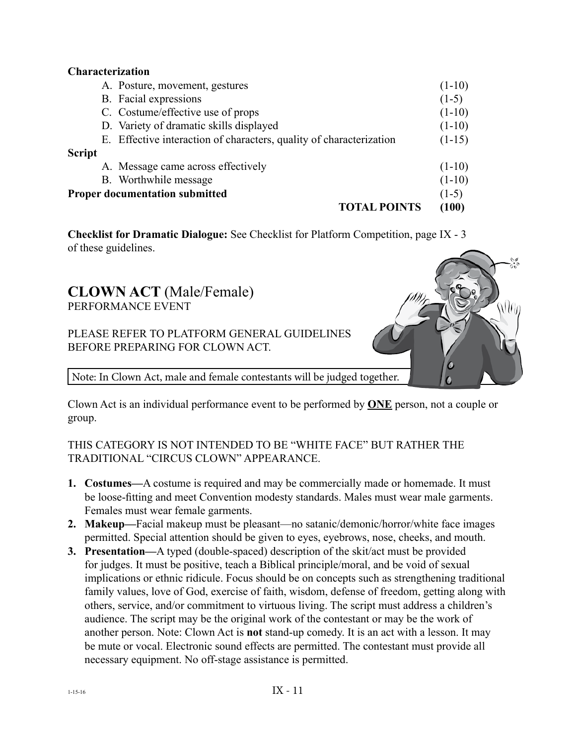#### **Characterization**

|               | A. Posture, movement, gestures                                      | $(1-10)$ |
|---------------|---------------------------------------------------------------------|----------|
|               | B. Facial expressions                                               | $(1-5)$  |
|               | C. Costume/effective use of props                                   | $(1-10)$ |
|               | D. Variety of dramatic skills displayed                             | $(1-10)$ |
|               | E. Effective interaction of characters, quality of characterization | $(1-15)$ |
| <b>Script</b> |                                                                     |          |
|               | A. Message came across effectively                                  | $(1-10)$ |
|               | B. Worthwhile message                                               | $(1-10)$ |
|               | <b>Proper documentation submitted</b>                               | $(1-5)$  |
|               | <b>TOTAL POINTS</b>                                                 | (100)    |

**Checklist for Dramatic Dialogue:** See Checklist for Platform Competition, page IX - 3 of these guidelines.

#### **CLOWN ACT** (Male/Female) PERFORMANCE EVENT

PLEASE REFER TO PLATFORM GENERAL GUIDELINES BEFORE PREPARING FOR CLOWN ACT.

Note: In Clown Act, male and female contestants will be judged together.

Clown Act is an individual performance event to be performed by **ONE** person, not a couple or group.

Wu

#### THIS CATEGORY IS NOT INTENDED TO BE "WHITE FACE" BUT RATHER THE TRADITIONAL "CIRCUS CLOWN" APPEARANCE.

- **1. Costumes—**A costume is required and may be commercially made or homemade. It must be loose-fitting and meet Convention modesty standards. Males must wear male garments. Females must wear female garments.
- **2. Makeup—**Facial makeup must be pleasant—no satanic/demonic/horror/white face images permitted. Special attention should be given to eyes, eyebrows, nose, cheeks, and mouth.
- **3. Presentation—**A typed (double-spaced) description of the skit/act must be provided for judges. It must be positive, teach a Biblical principle/moral, and be void of sexual implications or ethnic ridicule. Focus should be on concepts such as strengthening traditional family values, love of God, exercise of faith, wisdom, defense of freedom, getting along with others, service, and/or commitment to virtuous living. The script must address a children's audience. The script may be the original work of the contestant or may be the work of another person. Note: Clown Act is **not** stand-up comedy. It is an act with a lesson. It may be mute or vocal. Electronic sound effects are permitted. The contestant must provide all necessary equipment. No off-stage assistance is permitted.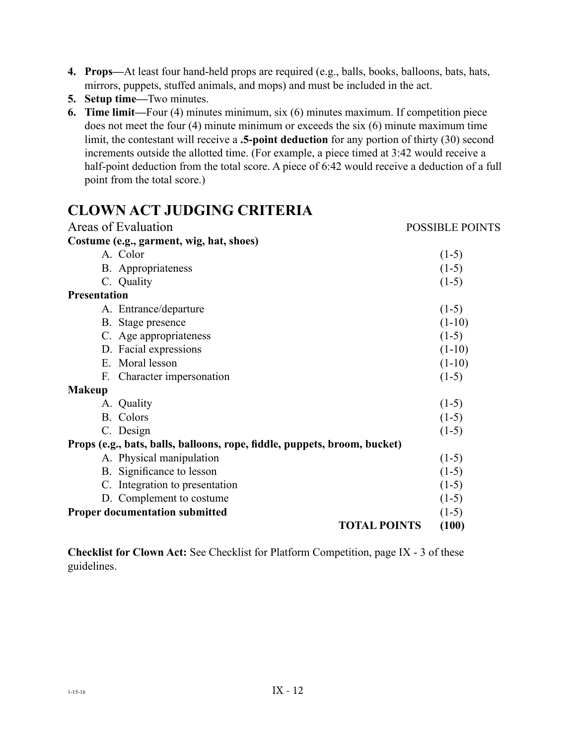- **4. Props—**At least four hand-held props are required (e.g., balls, books, balloons, bats, hats, mirrors, puppets, stuffed animals, and mops) and must be included in the act.
- **5. Setup time—**Two minutes.
- **6. Time limit—**Four (4) minutes minimum, six (6) minutes maximum. If competition piece does not meet the four (4) minute minimum or exceeds the six (6) minute maximum time limit, the contestant will receive a **.5-point deduction** for any portion of thirty (30) second increments outside the allotted time. (For example, a piece timed at 3:42 would receive a half-point deduction from the total score. A piece of 6:42 would receive a deduction of a full point from the total score.)

## **CLOWN ACT JUDGING CRITERIA**

| Areas of Evaluation                                                       | <b>POSSIBLE POINTS</b> |
|---------------------------------------------------------------------------|------------------------|
| Costume (e.g., garment, wig, hat, shoes)                                  |                        |
| A. Color                                                                  | $(1-5)$                |
| <b>B.</b> Appropriateness                                                 | $(1-5)$                |
| C. Quality                                                                | $(1-5)$                |
| <b>Presentation</b>                                                       |                        |
| A. Entrance/departure                                                     | $(1-5)$                |
| B. Stage presence                                                         | $(1-10)$               |
| C. Age appropriateness                                                    | $(1-5)$                |
| D. Facial expressions                                                     | $(1-10)$               |
| E. Moral lesson                                                           | $(1-10)$               |
| Character impersonation<br>F.                                             | $(1-5)$                |
| <b>Makeup</b>                                                             |                        |
| A. Quality                                                                | $(1-5)$                |
| <b>B.</b> Colors                                                          | $(1-5)$                |
| C. Design                                                                 | $(1-5)$                |
| Props (e.g., bats, balls, balloons, rope, fiddle, puppets, broom, bucket) |                        |
| A. Physical manipulation                                                  | $(1-5)$                |
| B. Significance to lesson                                                 | $(1-5)$                |
| C. Integration to presentation                                            | $(1-5)$                |
| D. Complement to costume                                                  | $(1-5)$                |
| <b>Proper documentation submitted</b>                                     | $(1-5)$                |
| <b>TOTAL POINTS</b>                                                       | (100)                  |

**Checklist for Clown Act:** See Checklist for Platform Competition, page IX - 3 of these guidelines.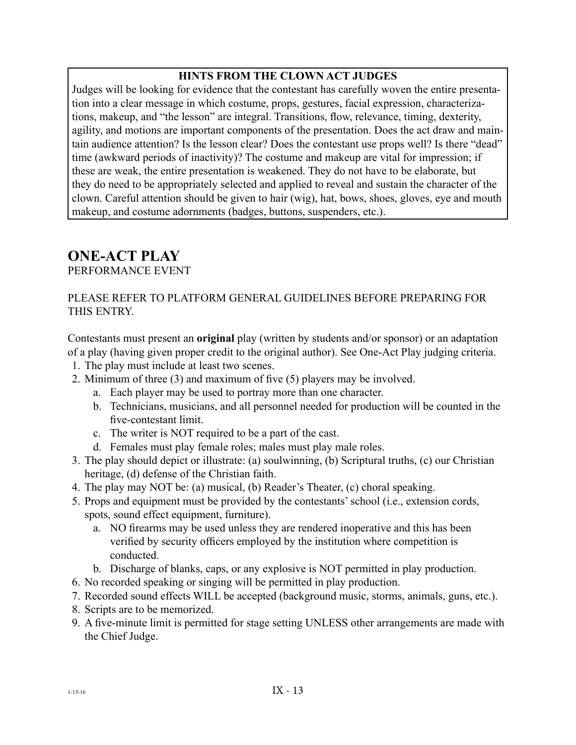#### **HINTS FROM THE CLOWN ACT JUDGES**

Judges will be looking for evidence that the contestant has carefully woven the entire presentation into a clear message in which costume, props, gestures, facial expression, characterizations, makeup, and "the lesson" are integral. Transitions, flow, relevance, timing, dexterity, agility, and motions are important components of the presentation. Does the act draw and maintain audience attention? Is the lesson clear? Does the contestant use props well? Is there "dead" time (awkward periods of inactivity)? The costume and makeup are vital for impression; if these are weak, the entire presentation is weakened. They do not have to be elaborate, but they do need to be appropriately selected and applied to reveal and sustain the character of the clown. Careful attention should be given to hair (wig), hat, bows, shoes, gloves, eye and mouth makeup, and costume adornments (badges, buttons, suspenders, etc.).

## **ONE-ACT PLAY**

PERFORMANCE EVENT

#### PLEASE REFER TO PLATFORM GENERAL GUIDELINES BEFORE PREPARING FOR THIS ENTRY.

Contestants must present an **original** play (written by students and/or sponsor) or an adaptation of a play (having given proper credit to the original author). See One-Act Play judging criteria.

- 1. The play must include at least two scenes.
- 2. Minimum of three (3) and maximum of five (5) players may be involved.
	- a. Each player may be used to portray more than one character.
	- b. Technicians, musicians, and all personnel needed for production will be counted in the five-contestant limit.
	- c. The writer is NOT required to be a part of the cast.
	- d. Females must play female roles; males must play male roles.
- 3. The play should depict or illustrate: (a) soulwinning, (b) Scriptural truths, (c) our Christian heritage, (d) defense of the Christian faith.
- 4. The play may NOT be: (a) musical, (b) Reader's Theater, (c) choral speaking.
- 5. Props and equipment must be provided by the contestants' school (i.e., extension cords, spots, sound effect equipment, furniture).
	- a. NO firearms may be used unless they are rendered inoperative and this has been verified by security officers employed by the institution where competition is conducted.
	- b. Discharge of blanks, caps, or any explosive is NOT permitted in play production.
- 6. No recorded speaking or singing will be permitted in play production.
- 7. Recorded sound effects WILL be accepted (background music, storms, animals, guns, etc.).
- 8. Scripts are to be memorized.
- 9. A five-minute limit is permitted for stage setting UNLESS other arrangements are made with the Chief Judge.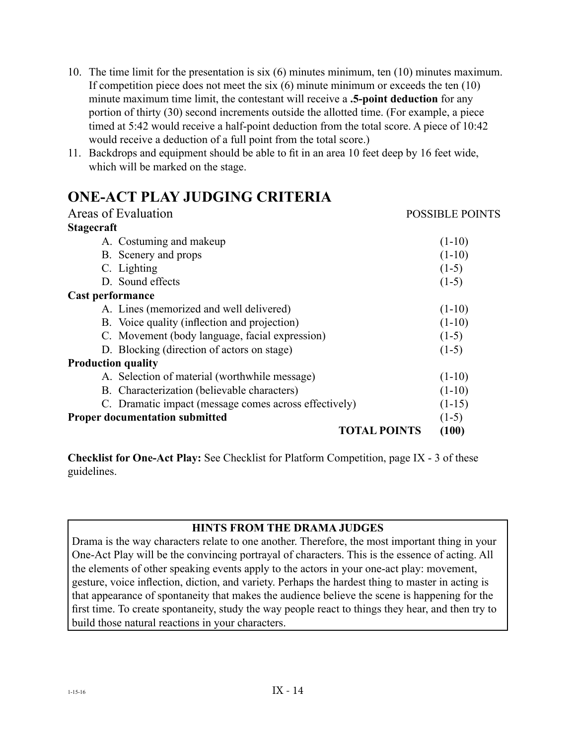- 10. The time limit for the presentation is six (6) minutes minimum, ten (10) minutes maximum. If competition piece does not meet the six (6) minute minimum or exceeds the ten (10) minute maximum time limit, the contestant will receive a **.5-point deduction** for any portion of thirty (30) second increments outside the allotted time. (For example, a piece timed at 5:42 would receive a half-point deduction from the total score. A piece of 10:42 would receive a deduction of a full point from the total score.)
- 11. Backdrops and equipment should be able to fit in an area 10 feet deep by 16 feet wide, which will be marked on the stage.

## **ONE-ACT PLAY JUDGING CRITERIA**

| Areas of Evaluation                                   | <b>POSSIBLE POINTS</b> |
|-------------------------------------------------------|------------------------|
| <b>Stagecraft</b>                                     |                        |
| A. Costuming and makeup                               | $(1-10)$               |
| B. Scenery and props                                  | $(1-10)$               |
| C. Lighting                                           | $(1-5)$                |
| D. Sound effects                                      | $(1-5)$                |
| Cast performance                                      |                        |
| A. Lines (memorized and well delivered)               | $(1-10)$               |
| B. Voice quality (inflection and projection)          | $(1-10)$               |
| C. Movement (body language, facial expression)        | $(1-5)$                |
| D. Blocking (direction of actors on stage)            | $(1-5)$                |
| <b>Production quality</b>                             |                        |
| A. Selection of material (worthwhile message)         | $(1-10)$               |
| B. Characterization (believable characters)           | $(1-10)$               |
| C. Dramatic impact (message comes across effectively) | $(1-15)$               |
| <b>Proper documentation submitted</b>                 | $(1-5)$                |
| <b>TOTAL POINTS</b>                                   | (100)                  |

**Checklist for One-Act Play:** See Checklist for Platform Competition, page IX - 3 of these guidelines.

#### **HINTS FROM THE DRAMA JUDGES**

Drama is the way characters relate to one another. Therefore, the most important thing in your One-Act Play will be the convincing portrayal of characters. This is the essence of acting. All the elements of other speaking events apply to the actors in your one-act play: movement, gesture, voice inflection, diction, and variety. Perhaps the hardest thing to master in acting is that appearance of spontaneity that makes the audience believe the scene is happening for the first time. To create spontaneity, study the way people react to things they hear, and then try to build those natural reactions in your characters.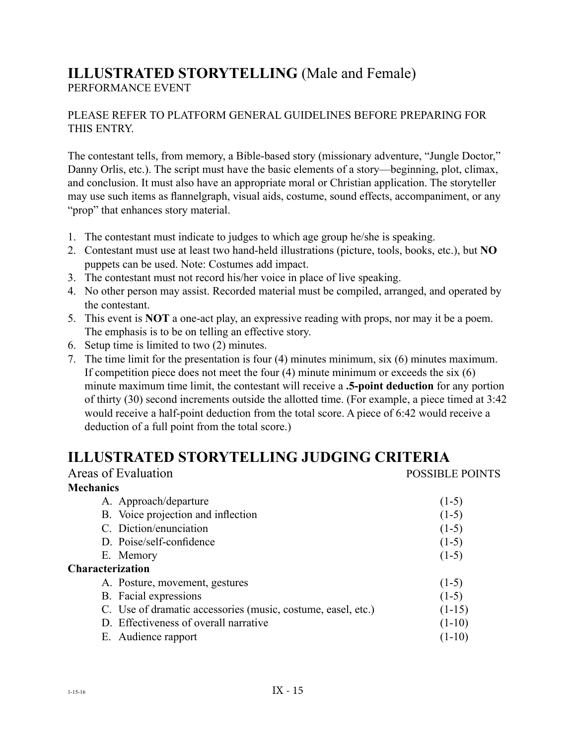#### **ILLUSTRATED STORYTELLING** (Male and Female) PERFORMANCE EVENT

#### PLEASE REFER TO PLATFORM GENERAL GUIDELINES BEFORE PREPARING FOR THIS ENTRY.

The contestant tells, from memory, a Bible-based story (missionary adventure, "Jungle Doctor," Danny Orlis, etc.). The script must have the basic elements of a story—beginning, plot, climax, and conclusion. It must also have an appropriate moral or Christian application. The storyteller may use such items as flannelgraph, visual aids, costume, sound effects, accompaniment, or any "prop" that enhances story material.

- 1. The contestant must indicate to judges to which age group he/she is speaking.
- 2. Contestant must use at least two hand-held illustrations (picture, tools, books, etc.), but **NO** puppets can be used. Note: Costumes add impact.
- 3. The contestant must not record his/her voice in place of live speaking.
- 4. No other person may assist. Recorded material must be compiled, arranged, and operated by the contestant.
- 5. This event is **NOT** a one-act play, an expressive reading with props, nor may it be a poem. The emphasis is to be on telling an effective story.
- 6. Setup time is limited to two (2) minutes.
- 7. The time limit for the presentation is four (4) minutes minimum, six (6) minutes maximum. If competition piece does not meet the four  $(4)$  minute minimum or exceeds the six  $(6)$ minute maximum time limit, the contestant will receive a **.5-point deduction** for any portion of thirty (30) second increments outside the allotted time. (For example, a piece timed at 3:42 would receive a half-point deduction from the total score. A piece of 6:42 would receive a deduction of a full point from the total score.)

## **ILLUSTRATED STORYTELLING JUDGING CRITERIA**

| Areas of Evaluation                                          | <b>POSSIBLE POINTS</b> |
|--------------------------------------------------------------|------------------------|
| <b>Mechanics</b>                                             |                        |
| A. Approach/departure                                        | $(1-5)$                |
| B. Voice projection and inflection                           | $(1-5)$                |
| C. Diction/enunciation                                       | $(1-5)$                |
| D. Poise/self-confidence                                     | $(1-5)$                |
| E. Memory                                                    | $(1-5)$                |
| <b>Characterization</b>                                      |                        |
| A. Posture, movement, gestures                               | $(1-5)$                |
| B. Facial expressions                                        | $(1-5)$                |
| C. Use of dramatic accessories (music, costume, easel, etc.) | $(1-15)$               |
| D. Effectiveness of overall narrative                        | $(1-10)$               |
| E. Audience rapport                                          | $(1-10)$               |
|                                                              |                        |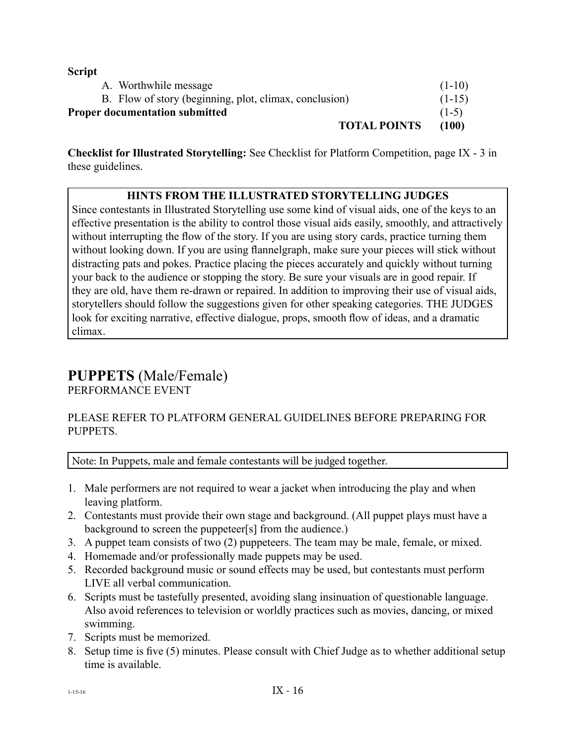#### **Script**

| ~~~~~~ |                                                        |          |
|--------|--------------------------------------------------------|----------|
|        | A. Worthwhile message                                  | $(1-10)$ |
|        | B. Flow of story (beginning, plot, climax, conclusion) | $(1-15)$ |
|        | <b>Proper documentation submitted</b>                  | $(1-5)$  |
|        | <b>TOTAL POINTS</b>                                    | (100)    |
|        |                                                        |          |

**Checklist for Illustrated Storytelling:** See Checklist for Platform Competition, page IX - 3 in these guidelines.

#### **HINTS FROM THE ILLUSTRATED STORYTELLING JUDGES**

Since contestants in Illustrated Storytelling use some kind of visual aids, one of the keys to an effective presentation is the ability to control those visual aids easily, smoothly, and attractively without interrupting the flow of the story. If you are using story cards, practice turning them without looking down. If you are using flannelgraph, make sure your pieces will stick without distracting pats and pokes. Practice placing the pieces accurately and quickly without turning your back to the audience or stopping the story. Be sure your visuals are in good repair. If they are old, have them re-drawn or repaired. In addition to improving their use of visual aids, storytellers should follow the suggestions given for other speaking categories. THE JUDGES look for exciting narrative, effective dialogue, props, smooth flow of ideas, and a dramatic climax.

# **PUPPETS** (Male/Female)

PERFORMANCE EVENT

#### PLEASE REFER TO PLATFORM GENERAL GUIDELINES BEFORE PREPARING FOR PUPPETS.

Note: In Puppets, male and female contestants will be judged together.

- 1. Male performers are not required to wear a jacket when introducing the play and when leaving platform.
- 2. Contestants must provide their own stage and background. (All puppet plays must have a background to screen the puppeteer[s] from the audience.)
- 3. A puppet team consists of two (2) puppeteers. The team may be male, female, or mixed.
- 4. Homemade and/or professionally made puppets may be used.
- 5. Recorded background music or sound effects may be used, but contestants must perform LIVE all verbal communication.
- 6. Scripts must be tastefully presented, avoiding slang insinuation of questionable language. Also avoid references to television or worldly practices such as movies, dancing, or mixed swimming.
- 7. Scripts must be memorized.
- 8. Setup time is five (5) minutes. Please consult with Chief Judge as to whether additional setup time is available.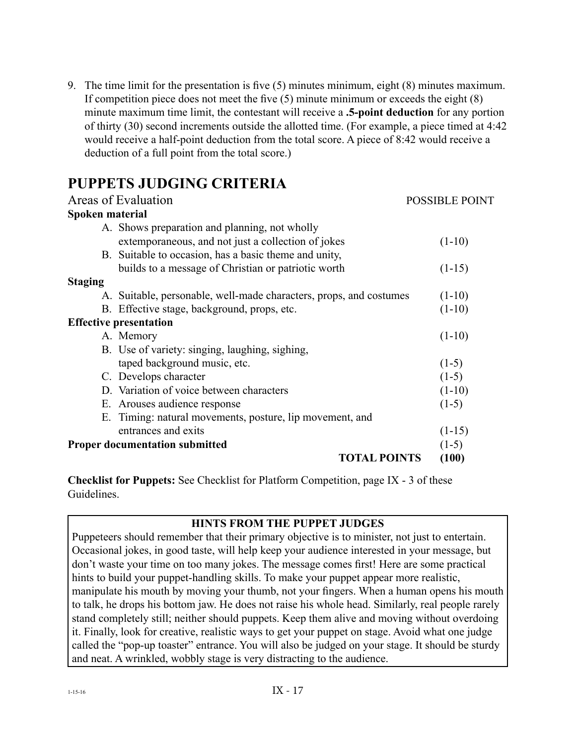9. The time limit for the presentation is five (5) minutes minimum, eight (8) minutes maximum. If competition piece does not meet the five (5) minute minimum or exceeds the eight (8) minute maximum time limit, the contestant will receive a **.5-point deduction** for any portion of thirty (30) second increments outside the allotted time. (For example, a piece timed at 4:42 would receive a half-point deduction from the total score. A piece of 8:42 would receive a deduction of a full point from the total score.)

## **PUPPETS JUDGING CRITERIA**

| Areas of Evaluation                                                | <b>POSSIBLE POINT</b> |
|--------------------------------------------------------------------|-----------------------|
| Spoken material                                                    |                       |
| A. Shows preparation and planning, not wholly                      |                       |
| extemporaneous, and not just a collection of jokes                 | $(1-10)$              |
| B. Suitable to occasion, has a basic theme and unity,              |                       |
| builds to a message of Christian or patriotic worth                | $(1-15)$              |
| <b>Staging</b>                                                     |                       |
| A. Suitable, personable, well-made characters, props, and costumes | $(1-10)$              |
| B. Effective stage, background, props, etc.                        | $(1-10)$              |
| <b>Effective presentation</b>                                      |                       |
| A. Memory                                                          | $(1-10)$              |
| B. Use of variety: singing, laughing, sighing,                     |                       |
| taped background music, etc.                                       | $(1-5)$               |
| C. Develops character                                              | $(1-5)$               |
| D. Variation of voice between characters                           | $(1-10)$              |
| E. Arouses audience response                                       | $(1-5)$               |
| E. Timing: natural movements, posture, lip movement, and           |                       |
| entrances and exits                                                | $(1-15)$              |
| <b>Proper documentation submitted</b>                              | $(1-5)$               |
| <b>TOTAL POINTS</b>                                                | (100)                 |

**Checklist for Puppets:** See Checklist for Platform Competition, page IX - 3 of these Guidelines.

#### **HINTS FROM THE PUPPET JUDGES**

Puppeteers should remember that their primary objective is to minister, not just to entertain. Occasional jokes, in good taste, will help keep your audience interested in your message, but don't waste your time on too many jokes. The message comes first! Here are some practical hints to build your puppet-handling skills. To make your puppet appear more realistic, manipulate his mouth by moving your thumb, not your fingers. When a human opens his mouth to talk, he drops his bottom jaw. He does not raise his whole head. Similarly, real people rarely stand completely still; neither should puppets. Keep them alive and moving without overdoing it. Finally, look for creative, realistic ways to get your puppet on stage. Avoid what one judge called the "pop-up toaster" entrance. You will also be judged on your stage. It should be sturdy and neat. A wrinkled, wobbly stage is very distracting to the audience.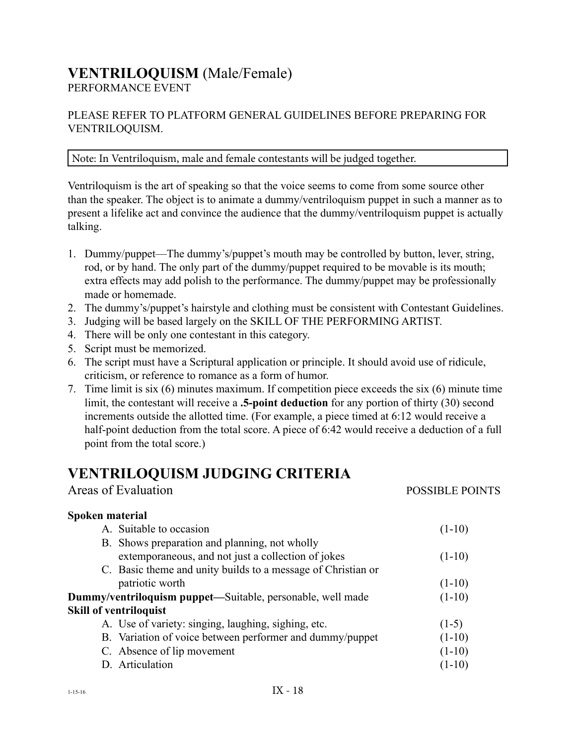# **VENTRILOQUISM** (Male/Female)

PERFORMANCE EVENT

#### PLEASE REFER TO PLATFORM GENERAL GUIDELINES BEFORE PREPARING FOR VENTRILOQUISM.

#### Note: In Ventriloquism, male and female contestants will be judged together.

Ventriloquism is the art of speaking so that the voice seems to come from some source other than the speaker. The object is to animate a dummy/ventriloquism puppet in such a manner as to present a lifelike act and convince the audience that the dummy/ventriloquism puppet is actually talking.

- 1. Dummy/puppet—The dummy's/puppet's mouth may be controlled by button, lever, string, rod, or by hand. The only part of the dummy/puppet required to be movable is its mouth; extra effects may add polish to the performance. The dummy/puppet may be professionally made or homemade.
- 2. The dummy's/puppet's hairstyle and clothing must be consistent with Contestant Guidelines.
- 3. Judging will be based largely on the SKILL OF THE PERFORMING ARTIST.
- 4. There will be only one contestant in this category.
- 5. Script must be memorized.
- 6. The script must have a Scriptural application or principle. It should avoid use of ridicule, criticism, or reference to romance as a form of humor.
- 7. Time limit is six (6) minutes maximum. If competition piece exceeds the six (6) minute time limit, the contestant will receive a **.5-point deduction** for any portion of thirty (30) second increments outside the allotted time. (For example, a piece timed at 6:12 would receive a half-point deduction from the total score. A piece of 6:42 would receive a deduction of a full point from the total score.)

Areas of Evaluation *POSSIBLE POINTS* 

## **VENTRILOQUISM JUDGING CRITERIA**

| Spoken material                                                   |          |
|-------------------------------------------------------------------|----------|
| A. Suitable to occasion                                           | $(1-10)$ |
| B. Shows preparation and planning, not wholly                     |          |
| extemporaneous, and not just a collection of jokes                | $(1-10)$ |
| C. Basic theme and unity builds to a message of Christian or      |          |
| patriotic worth                                                   | $(1-10)$ |
| <b>Dummy/ventriloquism puppet—Suitable, personable, well made</b> | $(1-10)$ |
| <b>Skill of ventriloquist</b>                                     |          |
| A. Use of variety: singing, laughing, sighing, etc.               | $(1-5)$  |
| B. Variation of voice between performer and dummy/puppet          | $(1-10)$ |
| C. Absence of lip movement                                        | $(1-10)$ |
| D. Articulation                                                   | $(1-10)$ |
|                                                                   |          |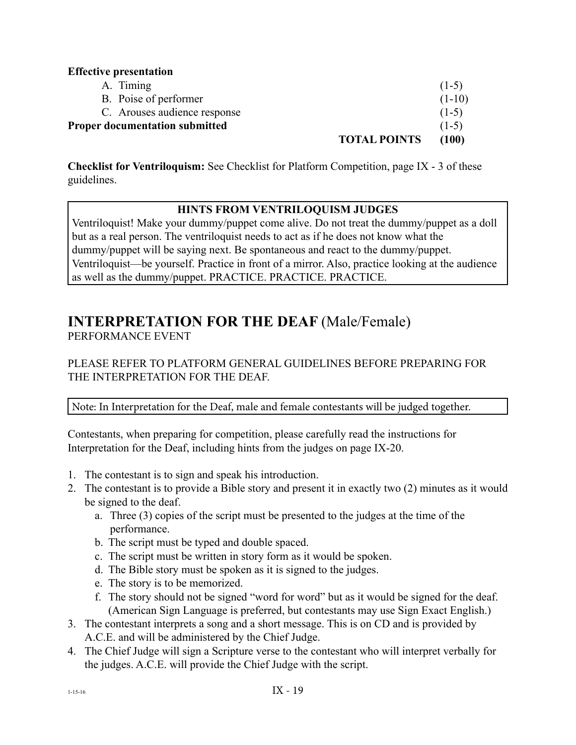#### **Effective presentation**

|                                       | <b>TOTAL POINTS</b> | (100)    |
|---------------------------------------|---------------------|----------|
| <b>Proper documentation submitted</b> |                     | $(1-5)$  |
| C. Arouses audience response          |                     | $(1-5)$  |
| B. Poise of performer                 |                     | $(1-10)$ |
| A. Timing                             |                     | $(1-5)$  |
|                                       |                     |          |

**Checklist for Ventriloquism:** See Checklist for Platform Competition, page IX - 3 of these guidelines.

#### **HINTS FROM VENTRILOQUISM JUDGES**

Ventriloquist! Make your dummy/puppet come alive. Do not treat the dummy/puppet as a doll but as a real person. The ventriloquist needs to act as if he does not know what the dummy/puppet will be saying next. Be spontaneous and react to the dummy/puppet. Ventriloquist—be yourself. Practice in front of a mirror. Also, practice looking at the audience as well as the dummy/puppet. PRACTICE. PRACTICE. PRACTICE.

# **INTERPRETATION FOR THE DEAF** (Male/Female)

PERFORMANCE EVENT

#### PLEASE REFER TO PLATFORM GENERAL GUIDELINES BEFORE PREPARING FOR THE INTERPRETATION FOR THE DEAF.

Note: In Interpretation for the Deaf, male and female contestants will be judged together.

Contestants, when preparing for competition, please carefully read the instructions for Interpretation for the Deaf, including hints from the judges on page IX-20.

- 1. The contestant is to sign and speak his introduction.
- 2. The contestant is to provide a Bible story and present it in exactly two (2) minutes as it would be signed to the deaf.
	- a. Three (3) copies of the script must be presented to the judges at the time of the performance.
	- b. The script must be typed and double spaced.
	- c. The script must be written in story form as it would be spoken.
	- d. The Bible story must be spoken as it is signed to the judges.
	- e. The story is to be memorized.
	- f. The story should not be signed "word for word" but as it would be signed for the deaf. (American Sign Language is preferred, but contestants may use Sign Exact English.)
- 3. The contestant interprets a song and a short message. This is on CD and is provided by A.C.E. and will be administered by the Chief Judge.
- 4. The Chief Judge will sign a Scripture verse to the contestant who will interpret verbally for the judges. A.C.E. will provide the Chief Judge with the script.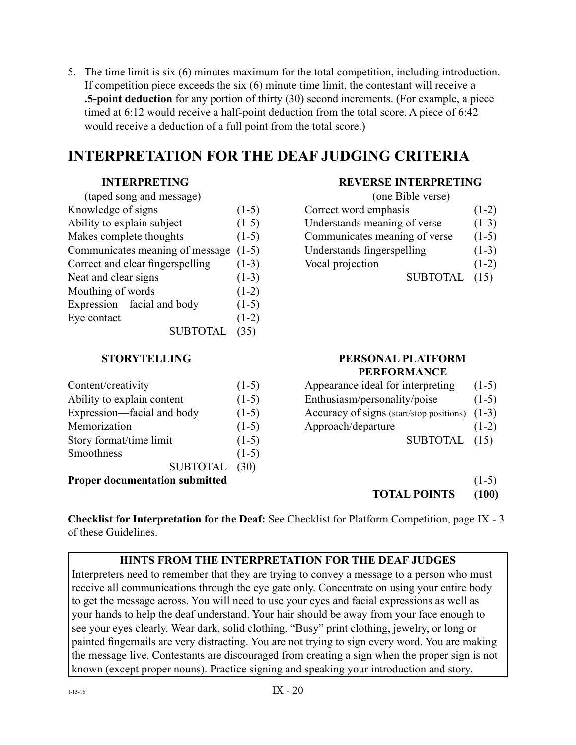5. The time limit is six (6) minutes maximum for the total competition, including introduction. If competition piece exceeds the six (6) minute time limit, the contestant will receive a **.5-point deduction** for any portion of thirty (30) second increments. (For example, a piece timed at 6:12 would receive a half-point deduction from the total score. A piece of 6:42 would receive a deduction of a full point from the total score.)

## **INTERPRETATION FOR THE DEAF JUDGING CRITERIA**

| (taped song and message)              |         | (one Bible verse)             |         |
|---------------------------------------|---------|-------------------------------|---------|
| Knowledge of signs                    | $(1-5)$ | Correct word emphasis         | $(1-2)$ |
| Ability to explain subject            | $(1-5)$ | Understands meaning of verse  | $(1-3)$ |
| Makes complete thoughts               | $(1-5)$ | Communicates meaning of verse | $(1-5)$ |
| Communicates meaning of message (1-5) |         | Understands fingerspelling    | $(1-3)$ |
| Correct and clear fingerspelling      | $(1-3)$ | Vocal projection              | $(1-2)$ |
| Neat and clear signs                  | $(1-3)$ | <b>SUBTOTAL</b>               | (15)    |
| Mouthing of words                     | $(1-2)$ |                               |         |
| Expression—facial and body            | $(1-5)$ |                               |         |
| Eye contact                           | $(1-2)$ |                               |         |
| <b>SUBTOTAI</b>                       | (35)    |                               |         |
|                                       |         |                               |         |

#### **INTERPRETING REVERSE INTERPRETING**

| (one Bible verse)             |         |
|-------------------------------|---------|
| Correct word emphasis         | $(1-2)$ |
| Understands meaning of verse  | $(1-3)$ |
| Communicates meaning of verse | $(1-5)$ |
| Understands fingerspelling    | $(1-3)$ |
| Vocal projection              | $(1-2)$ |
| <b>SUBTOTAL</b>               |         |

| Content/creativity                    | $(1-5)$ | Appearance ideal for interpreting              | $(1-5)$ |
|---------------------------------------|---------|------------------------------------------------|---------|
| Ability to explain content            | $(1-5)$ | Enthusiasm/personality/poise                   |         |
| Expression—facial and body            | $(1-5)$ | Accuracy of signs (start/stop positions) (1-3) |         |
| Memorization                          | $(1-5)$ | Approach/departure                             | $(1-2)$ |
| Story format/time limit               | $(1-5)$ | <b>SUBTOTAL</b>                                | (15)    |
| Smoothness                            | $(1-5)$ |                                                |         |
| <b>SUBTOTAL</b>                       | (30)    |                                                |         |
| <b>Proper documentation submitted</b> |         |                                                | $(1-5)$ |

#### **STORYTELLING PERSONAL PLATFORM PERFORMANCE**

| Appearance ideal for interpreting        | $(1-5)$ |
|------------------------------------------|---------|
| Enthusiasm/personality/poise             | $(1-5)$ |
| Accuracy of signs (start/stop positions) | $(1-3)$ |
| Approach/departure                       | $(1-2)$ |
| SUBTOTAL (15)                            |         |
|                                          |         |

**TOTAL POINTS (100)**

**Checklist for Interpretation for the Deaf:** See Checklist for Platform Competition, page IX - 3 of these Guidelines.

#### **HINTS FROM THE INTERPRETATION FOR THE DEAF JUDGES**

Interpreters need to remember that they are trying to convey a message to a person who must receive all communications through the eye gate only. Concentrate on using your entire body to get the message across. You will need to use your eyes and facial expressions as well as your hands to help the deaf understand. Your hair should be away from your face enough to see your eyes clearly. Wear dark, solid clothing. "Busy" print clothing, jewelry, or long or painted fingernails are very distracting. You are not trying to sign every word. You are making the message live. Contestants are discouraged from creating a sign when the proper sign is not known (except proper nouns). Practice signing and speaking your introduction and story.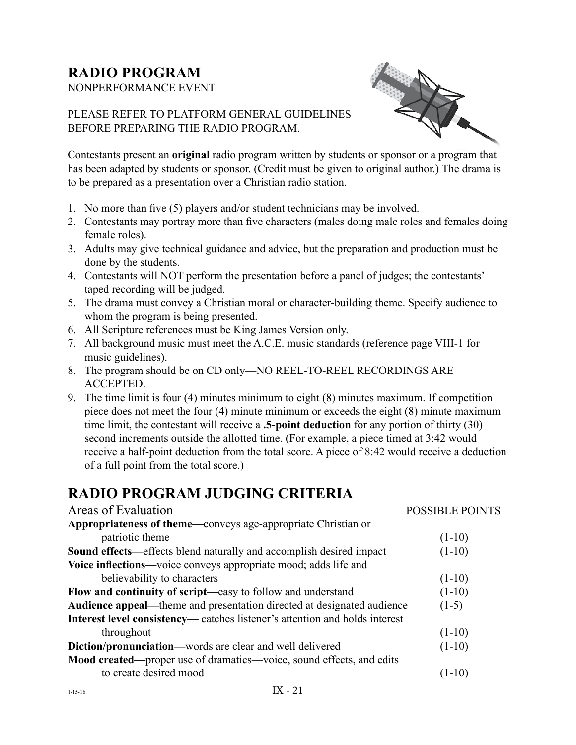# **RADIO PROGRAM**

NONPERFORMANCE EVENT



#### PLEASE REFER TO PLATFORM GENERAL GUIDELINES BEFORE PREPARING THE RADIO PROGRAM.

Contestants present an **original** radio program written by students or sponsor or a program that has been adapted by students or sponsor. (Credit must be given to original author.) The drama is to be prepared as a presentation over a Christian radio station.

- 1. No more than five (5) players and/or student technicians may be involved.
- 2. Contestants may portray more than five characters (males doing male roles and females doing female roles).
- 3. Adults may give technical guidance and advice, but the preparation and production must be done by the students.
- 4. Contestants will NOT perform the presentation before a panel of judges; the contestants' taped recording will be judged.
- 5. The drama must convey a Christian moral or character-building theme. Specify audience to whom the program is being presented.
- 6. All Scripture references must be King James Version only.
- 7. All background music must meet the A.C.E. music standards (reference page VIII-1 for music guidelines).
- 8. The program should be on CD only—NO REEL-TO-REEL RECORDINGS ARE ACCEPTED.
- 9. The time limit is four (4) minutes minimum to eight (8) minutes maximum. If competition piece does not meet the four (4) minute minimum or exceeds the eight (8) minute maximum time limit, the contestant will receive a **.5-point deduction** for any portion of thirty (30) second increments outside the allotted time. (For example, a piece timed at 3:42 would receive a half-point deduction from the total score. A piece of 8:42 would receive a deduction of a full point from the total score.)

## **RADIO PROGRAM JUDGING CRITERIA**

| Areas of Evaluation                                                                | <b>POSSIBLE POINTS</b> |
|------------------------------------------------------------------------------------|------------------------|
| <b>Appropriateness of theme—conveys age-appropriate Christian or</b>               |                        |
| patriotic theme                                                                    | $(1-10)$               |
| <b>Sound effects—effects blend naturally and accomplish desired impact</b>         | $(1-10)$               |
| Voice inflections—voice conveys appropriate mood; adds life and                    |                        |
| believability to characters                                                        | $(1-10)$               |
| Flow and continuity of script-easy to follow and understand                        | $(1-10)$               |
| <b>Audience appeal—theme and presentation directed at designated audience</b>      | $(1-5)$                |
| <b>Interest level consistency—</b> catches listener's attention and holds interest |                        |
| throughout                                                                         | $(1-10)$               |
| <b>Diction/pronunciation—words are clear and well delivered</b>                    | $(1-10)$               |
| Mood created—proper use of dramatics—voice, sound effects, and edits               |                        |
| to create desired mood                                                             | $(1-10)$               |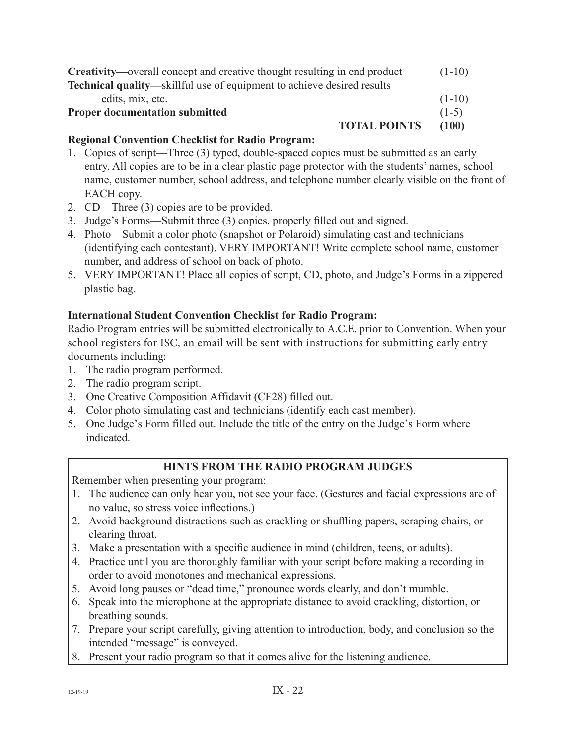| <b>Creativity—overall concept and creative thought resulting in end product</b> | $(1-10)$ |
|---------------------------------------------------------------------------------|----------|
| <b>Technical quality—skillful use of equipment to achieve desired results—</b>  |          |
| edits, mix, etc.                                                                | $(1-10)$ |
| <b>Proper documentation submitted</b>                                           | $(1-5)$  |
| <b>TOTAL POINTS</b>                                                             | (100)    |

#### **Regional Convention Checklist for Radio Program:**

- 1. Copies of script—Three (3) typed, double-spaced copies must be submitted as an early entry. All copies are to be in a clear plastic page protector with the students' names, school name, customer number, school address, and telephone number clearly visible on the front of EACH copy.
- 2. CD—Three (3) copies are to be provided.
- 3. Judge's Forms—Submit three (3) copies, properly filled out and signed.
- 4. Photo—Submit a color photo (snapshot or Polaroid) simulating cast and technicians (identifying each contestant). VERY IMPORTANT! Write complete school name, customer number, and address of school on back of photo.
- 5. VERY IMPORTANT! Place all copies of script, CD, photo, and Judge's Forms in a zippered plastic bag.

#### **International Student Convention Checklist for Radio Program:**

Radio Program entries will be submitted electronically to A.C.E. prior to Convention. When your school registers for ISC, an email will be sent with instructions for submitting early entry documents including:

- 1. The radio program performed.
- 2. The radio program script.
- 3. One Creative Composition Affidavit (CF28) filled out.
- 4. Color photo simulating cast and technicians (identify each cast member).
- 5. One Judge's Form filled out. Include the title of the entry on the Judge's Form where indicated.

#### **HINTS FROM THE RADIO PROGRAM JUDGES**

Remember when presenting your program:

- 1. The audience can only hear you, not see your face. (Gestures and facial expressions are of no value, so stress voice inflections.)
- 2. Avoid background distractions such as crackling or shuffling papers, scraping chairs, or clearing throat.
- 3. Make a presentation with a specific audience in mind (children, teens, or adults).
- 4. Practice until you are thoroughly familiar with your script before making a recording in order to avoid monotones and mechanical expressions.
- 5. Avoid long pauses or "dead time," pronounce words clearly, and don't mumble.
- 6. Speak into the microphone at the appropriate distance to avoid crackling, distortion, or breathing sounds.
- 7. Prepare your script carefully, giving attention to introduction, body, and conclusion so the intended "message" is conveyed.
- Present your radio program so that it comes alive for the listening audience.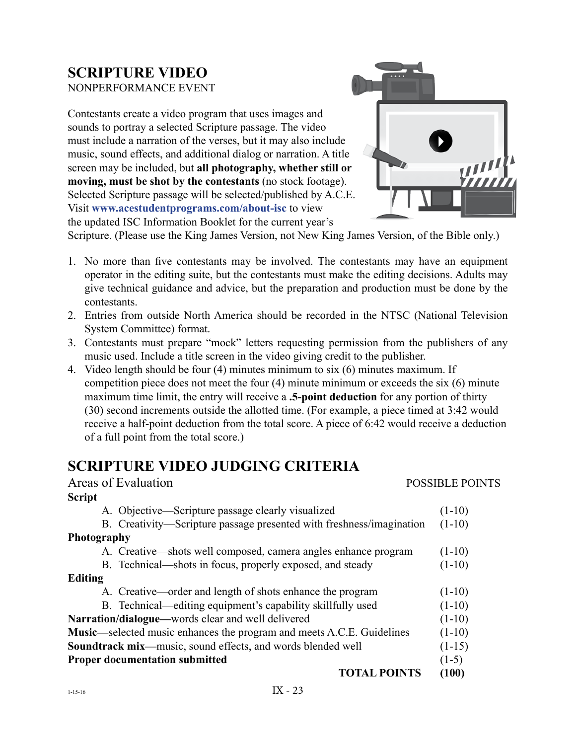# **SCRIPTURE VIDEO**

NONPERFORMANCE EVENT

Contestants create a video program that uses images and sounds to portray a selected Scripture passage. The video must include a narration of the verses, but it may also include music, sound effects, and additional dialog or narration. A title screen may be included, but **all photography, whether still or moving, must be shot by the contestants** (no stock footage). Selected Scripture passage will be selected/published by A.C.E. Visit **www.acestudentprograms.com/about-isc** to view the updated ISC Information Booklet for the current year's



Scripture. (Please use the King James Version, not New King James Version, of the Bible only.)

- 1. No more than five contestants may be involved. The contestants may have an equipment operator in the editing suite, but the contestants must make the editing decisions. Adults may give technical guidance and advice, but the preparation and production must be done by the contestants.
- 2. Entries from outside North America should be recorded in the NTSC (National Television System Committee) format.
- 3. Contestants must prepare "mock" letters requesting permission from the publishers of any music used. Include a title screen in the video giving credit to the publisher.
- 4. Video length should be four (4) minutes minimum to six (6) minutes maximum. If competition piece does not meet the four (4) minute minimum or exceeds the six (6) minute maximum time limit, the entry will receive a **.5-point deduction** for any portion of thirty (30) second increments outside the allotted time. (For example, a piece timed at 3:42 would receive a half-point deduction from the total score. A piece of 6:42 would receive a deduction of a full point from the total score.)

## **SCRIPTURE VIDEO JUDGING CRITERIA**

| <b>POSSIBLE POINTS</b>                                                                   |
|------------------------------------------------------------------------------------------|
|                                                                                          |
| $(1-10)$                                                                                 |
| B. Creativity—Scripture passage presented with freshness/imagination<br>$(1-10)$         |
|                                                                                          |
| A. Creative—shots well composed, camera angles enhance program<br>$(1-10)$               |
| $(1-10)$                                                                                 |
|                                                                                          |
| $(1-10)$                                                                                 |
| $(1-10)$                                                                                 |
| $(1-10)$                                                                                 |
| <b>Music—selected music enhances the program and meets A.C.E. Guidelines</b><br>$(1-10)$ |
| $(1-15)$                                                                                 |
| $(1-5)$                                                                                  |
| <b>TOTAL POINTS</b><br>(100)                                                             |
|                                                                                          |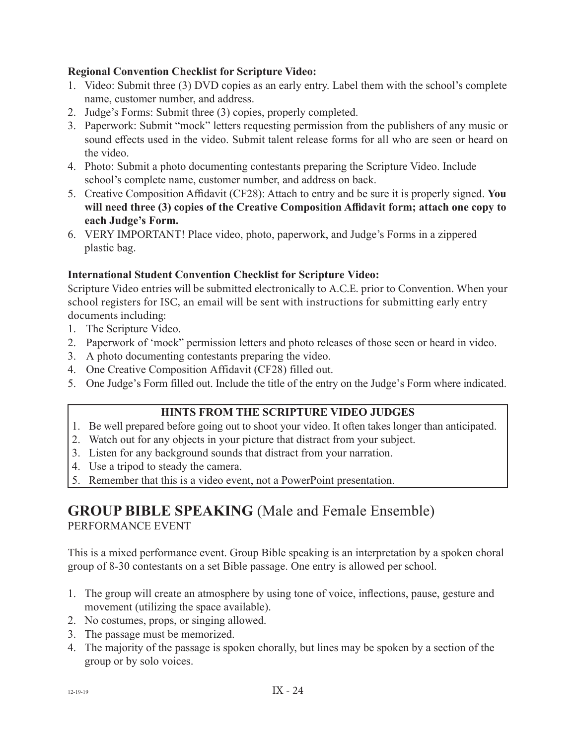#### **Regional Convention Checklist for Scripture Video:**

- 1. Video: Submit three (3) DVD copies as an early entry. Label them with the school's complete name, customer number, and address.
- 2. Judge's Forms: Submit three (3) copies, properly completed.
- 3. Paperwork: Submit "mock" letters requesting permission from the publishers of any music or sound effects used in the video. Submit talent release forms for all who are seen or heard on the video.
- 4. Photo: Submit a photo documenting contestants preparing the Scripture Video. Include school's complete name, customer number, and address on back.
- 5. Creative Composition Affidavit (CF28): Attach to entry and be sure it is properly signed. **You will need three (3) copies of the Creative Composition Affidavit form; attach one copy to each Judge's Form.**
- 6. VERY IMPORTANT! Place video, photo, paperwork, and Judge's Forms in a zippered plastic bag.

#### **International Student Convention Checklist for Scripture Video:**

Scripture Video entries will be submitted electronically to A.C.E. prior to Convention. When your school registers for ISC, an email will be sent with instructions for submitting early entry documents including:

- 1. The Scripture Video.
- 2. Paperwork of 'mock" permission letters and photo releases of those seen or heard in video.
- 3. A photo documenting contestants preparing the video.
- 4. One Creative Composition Affidavit (CF28) filled out.
- 5. One Judge's Form filled out. Include the title of the entry on the Judge's Form where indicated.

#### **HINTS FROM THE SCRIPTURE VIDEO JUDGES**

- 1. Be well prepared before going out to shoot your video. It often takes longer than anticipated.
- 2. Watch out for any objects in your picture that distract from your subject.
- 3. Listen for any background sounds that distract from your narration.
- 4. Use a tripod to steady the camera.
- 5. Remember that this is a video event, not a PowerPoint presentation.

#### **GROUP BIBLE SPEAKING** (Male and Female Ensemble) PERFORMANCE EVENT

This is a mixed performance event. Group Bible speaking is an interpretation by a spoken choral group of 8-30 contestants on a set Bible passage. One entry is allowed per school.

- 1. The group will create an atmosphere by using tone of voice, inflections, pause, gesture and movement (utilizing the space available).
- 2. No costumes, props, or singing allowed.
- 3. The passage must be memorized.
- 4. The majority of the passage is spoken chorally, but lines may be spoken by a section of the group or by solo voices.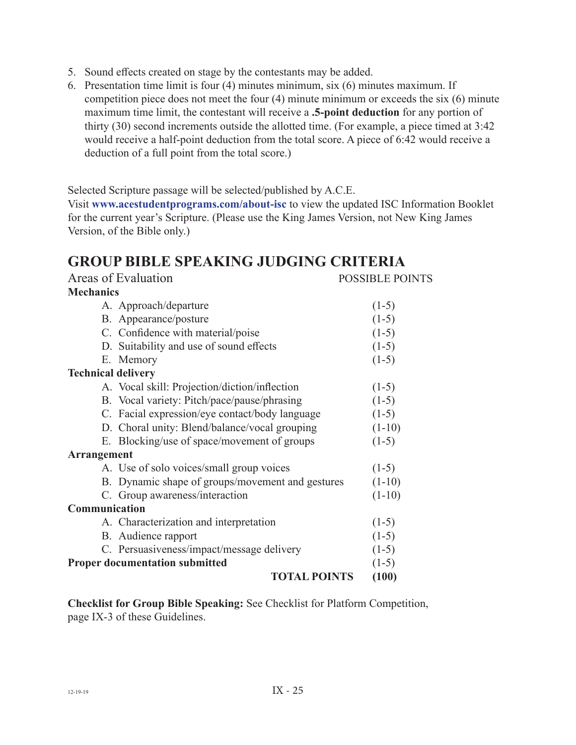- 5. Sound effects created on stage by the contestants may be added.
- 6. Presentation time limit is four (4) minutes minimum, six (6) minutes maximum. If competition piece does not meet the four (4) minute minimum or exceeds the six (6) minute maximum time limit, the contestant will receive a **.5-point deduction** for any portion of thirty (30) second increments outside the allotted time. (For example, a piece timed at 3:42 would receive a half-point deduction from the total score. A piece of 6:42 would receive a deduction of a full point from the total score.)

Selected Scripture passage will be selected/published by A.C.E.

Visit **www.acestudentprograms.com/about-isc** to view the updated ISC Information Booklet for the current year's Scripture. (Please use the King James Version, not New King James Version, of the Bible only.)

## **GROUP BIBLE SPEAKING JUDGING CRITERIA**

|                           | Areas of Evaluation                              | <b>POSSIBLE POINTS</b> |
|---------------------------|--------------------------------------------------|------------------------|
| <b>Mechanics</b>          |                                                  |                        |
|                           | A. Approach/departure                            | $(1-5)$                |
|                           | B. Appearance/posture                            | $(1-5)$                |
|                           | C. Confidence with material/poise                | $(1-5)$                |
|                           | D. Suitability and use of sound effects          | $(1-5)$                |
|                           | E. Memory                                        | $(1-5)$                |
| <b>Technical delivery</b> |                                                  |                        |
|                           | A. Vocal skill: Projection/diction/inflection    | $(1-5)$                |
|                           | B. Vocal variety: Pitch/pace/pause/phrasing      | $(1-5)$                |
|                           | C. Facial expression/eye contact/body language   | $(1-5)$                |
|                           | D. Choral unity: Blend/balance/vocal grouping    | $(1-10)$               |
|                           | E. Blocking/use of space/movement of groups      | $(1-5)$                |
| <b>Arrangement</b>        |                                                  |                        |
|                           | A. Use of solo voices/small group voices         | $(1-5)$                |
|                           | B. Dynamic shape of groups/movement and gestures | $(1-10)$               |
|                           | C. Group awareness/interaction                   | $(1-10)$               |
| Communication             |                                                  |                        |
|                           | A. Characterization and interpretation           | $(1-5)$                |
|                           | B. Audience rapport                              | $(1-5)$                |
|                           | C. Persuasiveness/impact/message delivery        | $(1-5)$                |
|                           | <b>Proper documentation submitted</b>            | $(1-5)$                |
|                           | <b>TOTAL POINTS</b>                              | (100)                  |

**Checklist for Group Bible Speaking:** See Checklist for Platform Competition, page IX-3 of these Guidelines.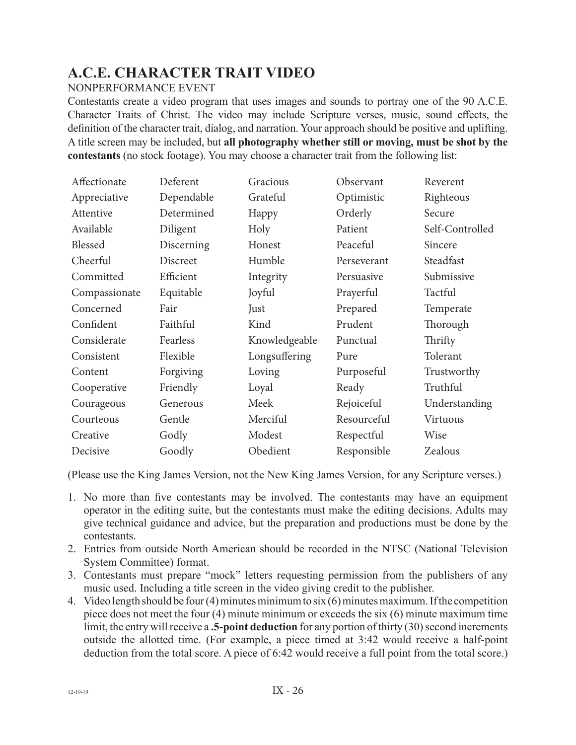## **A.C.E. CHARACTER TRAIT VIDEO**

#### NONPERFORMANCE EVENT

Contestants create a video program that uses images and sounds to portray one of the 90 A.C.E. Character Traits of Christ. The video may include Scripture verses, music, sound effects, the definition of the character trait, dialog, and narration. Your approach should be positive and uplifting. A title screen may be included, but **all photography whether still or moving, must be shot by the contestants** (no stock footage). You may choose a character trait from the following list:

| Affectionate  | Deferent   | Gracious      | Observant   | Reverent        |
|---------------|------------|---------------|-------------|-----------------|
| Appreciative  | Dependable | Grateful      | Optimistic  | Righteous       |
| Attentive     | Determined | Happy         | Orderly     | Secure          |
| Available     | Diligent   | Holy          | Patient     | Self-Controlled |
| Blessed       | Discerning | Honest        | Peaceful    | Sincere         |
| Cheerful      | Discreet   | Humble        | Perseverant | Steadfast       |
| Committed     | Efficient  | Integrity     | Persuasive  | Submissive      |
| Compassionate | Equitable  | Joyful        | Prayerful   | Tactful         |
| Concerned     | Fair       | Just          | Prepared    | Temperate       |
| Confident     | Faithful   | Kind          | Prudent     | Thorough        |
| Considerate   | Fearless   | Knowledgeable | Punctual    | Thrifty         |
| Consistent    | Flexible   | Longsuffering | Pure        | Tolerant        |
| Content       | Forgiving  | Loving        | Purposeful  | Trustworthy     |
| Cooperative   | Friendly   | Loyal         | Ready       | Truthful        |
| Courageous    | Generous   | Meek          | Rejoiceful  | Understanding   |
| Courteous     | Gentle     | Merciful      | Resourceful | Virtuous        |
| Creative      | Godly      | Modest        | Respectful  | Wise            |
| Decisive      | Goodly     | Obedient      | Responsible | Zealous         |

(Please use the King James Version, not the New King James Version, for any Scripture verses.)

- 1. No more than five contestants may be involved. The contestants may have an equipment operator in the editing suite, but the contestants must make the editing decisions. Adults may give technical guidance and advice, but the preparation and productions must be done by the contestants.
- 2. Entries from outside North American should be recorded in the NTSC (National Television System Committee) format.
- 3. Contestants must prepare "mock" letters requesting permission from the publishers of any music used. Including a title screen in the video giving credit to the publisher.
- 4. Video length should be four (4) minutes minimum to six (6) minutes maximum. If the competition piece does not meet the four (4) minute minimum or exceeds the six (6) minute maximum time limit, the entry will receive a **.5-point deduction** for any portion of thirty (30) second increments outside the allotted time. (For example, a piece timed at 3:42 would receive a half-point deduction from the total score. A piece of 6:42 would receive a full point from the total score.)